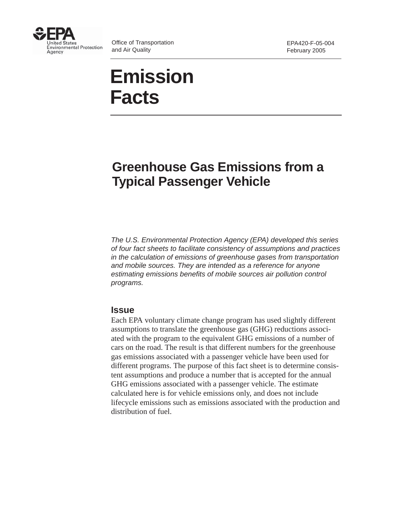

Office of Transportation and Air Quality

# **Emission Facts**

## **Greenhouse Gas Emissions from a Typical Passenger Vehicle**

The U.S. Environmental Protection Agency (EPA) developed this series of four fact sheets to facilitate consistency of assumptions and practices in the calculation of emissions of greenhouse gases from transportation and mobile sources. They are intended as a reference for anyone estimating emissions benefits of mobile sources air pollution control programs.

#### **Issue**

Each EPA voluntary climate change program has used slightly different assumptions to translate the greenhouse gas (GHG) reductions associated with the program to the equivalent GHG emissions of a number of cars on the road. The result is that different numbers for the greenhouse gas emissions associated with a passenger vehicle have been used for different programs. The purpose of this fact sheet is to determine consistent assumptions and produce a number that is accepted for the annual GHG emissions associated with a passenger vehicle. The estimate calculated here is for vehicle emissions only, and does not include lifecycle emissions such as emissions associated with the production and distribution of fuel.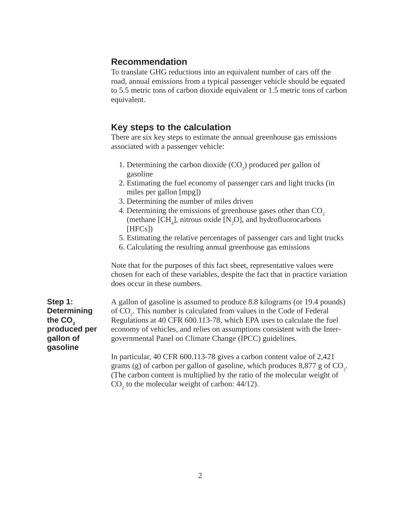### **Recommendation**

To translate GHG reductions into an equivalent number of cars off the road, annual emissions from a typical passenger vehicle should be equated to 5.5 metric tons of carbon dioxide equivalent or 1.5 metric tons of carbon equivalent.

#### **Key steps to the calculation**

There are six key steps to estimate the annual greenhouse gas emissions associated with a passenger vehicle:

- 1. Determining the carbon dioxide  $(CO_2)$  produced per gallon of gasoline
- 2. Estimating the fuel economy of passenger cars and light trucks (in miles per gallon [mpg])
- 3. Determining the number of miles driven
- 4. Determining the emissions of greenhouse gases other than CO<sub>2</sub> (methane  $[CH_4]$ , nitrous oxide  $[N_2O]$ , and hydrofluorocarbons [HFCs])
- 5. Estimating the relative percentages of passenger cars and light trucks
- 6. Calculating the resulting annual greenhouse gas emissions

Note that for the purposes of this fact sheet, representative values were chosen for each of these variables, despite the fact that in practice variation does occur in these numbers.

**Step 1: Determining** the CO<sub>2</sub> **produced per gallon of gasoline**

A gallon of gasoline is assumed to produce 8.8 kilograms (or 19.4 pounds) of  $CO<sub>2</sub>$ . This number is calculated from values in the Code of Federal Regulations at 40 CFR 600.113-78, which EPA uses to calculate the fuel economy of vehicles, and relies on assumptions consistent with the Intergovernmental Panel on Climate Change (IPCC) guidelines.

In particular, 40 CFR 600.113-78 gives a carbon content value of 2,421 grams (g) of carbon per gallon of gasoline, which produces  $8,877$  g of  $CO_2$ . (The carbon content is multiplied by the ratio of the molecular weight of  $CO<sub>2</sub>$  to the molecular weight of carbon: 44/12).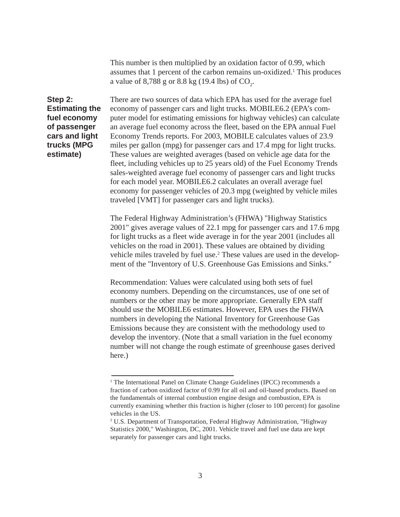This number is then multiplied by an oxidation factor of 0.99, which assumes that 1 percent of the carbon remains un-oxidized.<sup>1</sup> This produces a value of 8,788 g or 8.8 kg (19.4 lbs) of  $CO_{2}$ .

**Step 2: Estimating the fuel economy of passenger cars and light trucks (MPG estimate)**

There are two sources of data which EPA has used for the average fuel economy of passenger cars and light trucks. MOBILE6.2 (EPA's computer model for estimating emissions for highway vehicles) can calculate an average fuel economy across the fleet, based on the EPA annual Fuel Economy Trends reports. For 2003, MOBILE calculates values of 23.9 miles per gallon (mpg) for passenger cars and 17.4 mpg for light trucks. These values are weighted averages (based on vehicle age data for the fleet, including vehicles up to 25 years old) of the Fuel Economy Trends sales-weighted average fuel economy of passenger cars and light trucks for each model year. MOBILE6.2 calculates an overall average fuel economy for passenger vehicles of 20.3 mpg (weighted by vehicle miles traveled [VMT] for passenger cars and light trucks).

The Federal Highway Administration's (FHWA) "Highway Statistics 2001" gives average values of 22.1 mpg for passenger cars and 17.6 mpg for light trucks as a fleet wide average in for the year 2001 (includes all vehicles on the road in 2001). These values are obtained by dividing vehicle miles traveled by fuel use.<sup>2</sup> These values are used in the development of the "Inventory of U.S. Greenhouse Gas Emissions and Sinks."

Recommendation: Values were calculated using both sets of fuel economy numbers. Depending on the circumstances, use of one set of numbers or the other may be more appropriate. Generally EPA staff should use the MOBILE6 estimates. However, EPA uses the FHWA numbers in developing the National Inventory for Greenhouse Gas Emissions because they are consistent with the methodology used to develop the inventory. (Note that a small variation in the fuel economy number will not change the rough estimate of greenhouse gases derived here.)

<sup>&</sup>lt;sup>1</sup> The International Panel on Climate Change Guidelines (IPCC) recommends a fraction of carbon oxidized factor of 0.99 for all oil and oil-based products. Based on the fundamentals of internal combustion engine design and combustion, EPA is currently examining whether this fraction is higher (closer to 100 percent) for gasoline vehicles in the US.

<sup>&</sup>lt;sup>2</sup> U.S. Department of Transportation, Federal Highway Administration, "Highway Statistics 2000," Washington, DC, 2001. Vehicle travel and fuel use data are kept separately for passenger cars and light trucks.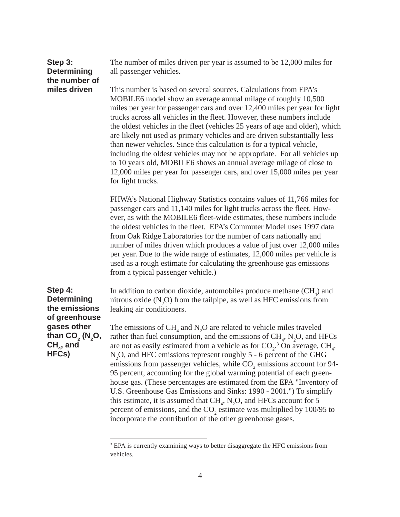| Step 3:<br><b>Determining</b><br>the number of | The number of miles driven per year is assumed to be 12,000 miles for<br>all passenger vehicles.                                                                                                                                                                                                                                                                                                                                                                                                                                                                                                                                                                                                                                                                                      |
|------------------------------------------------|---------------------------------------------------------------------------------------------------------------------------------------------------------------------------------------------------------------------------------------------------------------------------------------------------------------------------------------------------------------------------------------------------------------------------------------------------------------------------------------------------------------------------------------------------------------------------------------------------------------------------------------------------------------------------------------------------------------------------------------------------------------------------------------|
| miles driven                                   | This number is based on several sources. Calculations from EPA's<br>MOBILE6 model show an average annual milage of roughly 10,500<br>miles per year for passenger cars and over 12,400 miles per year for light<br>trucks across all vehicles in the fleet. However, these numbers include<br>the oldest vehicles in the fleet (vehicles 25 years of age and older), which<br>are likely not used as primary vehicles and are driven substantially less<br>than newer vehicles. Since this calculation is for a typical vehicle,<br>including the oldest vehicles may not be appropriate. For all vehicles up<br>to 10 years old, MOBILE6 shows an annual average milage of close to<br>12,000 miles per year for passenger cars, and over 15,000 miles per year<br>for light trucks. |
|                                                | FHWA's National Highway Statistics contains values of 11,766 miles for<br>passenger cars and 11,140 miles for light trucks across the fleet. How-<br>ever, as with the MOBILE6 fleet-wide estimates, these numbers include<br>the oldest vehicles in the fleet. EPA's Commuter Model uses 1997 data<br>from Oak Ridge Laboratories for the number of cars nationally and<br>number of miles driven which produces a value of just over 12,000 miles<br>per year. Due to the wide range of estimates, 12,000 miles per vehicle is<br>used as a rough estimate for calculating the greenhouse gas emissions                                                                                                                                                                             |

from a typical passenger vehicle.)

In addition to carbon dioxide, automobiles produce methane  $\text{CH}_4$ ) and nitrous oxide  $(N_2O)$  from the tailpipe, as well as HFC emissions from leaking air conditioners.

The emissions of  $CH_4$  and  $N_2O$  are related to vehicle miles traveled rather than fuel consumption, and the emissions of  $CH_4$ ,  $N_2O$ , and HFCs are not as easily estimated from a vehicle as for  $CO_2$ .<sup>3</sup> On average,  $CH_4$ , N<sub>2</sub>O, and HFC emissions represent roughly 5 - 6 percent of the GHG emissions from passenger vehicles, while  $CO_2$  emissions account for 94-95 percent, accounting for the global warming potential of each greenhouse gas. (These percentages are estimated from the EPA "Inventory of U.S. Greenhouse Gas Emissions and Sinks: 1990 - 2001.") To simplify this estimate, it is assumed that  $CH_4$ ,  $N_2O$ , and HFCs account for 5 percent of emissions, and the  $CO_2$  estimate was multiplied by 100/95 to incorporate the contribution of the other greenhouse gases.

**Step 4: Determining the emissions of greenhouse gases other** than CO<sub>2</sub> (N<sub>2</sub>O,  $CH<sub>4</sub>$ , and **HFCs)**

<sup>&</sup>lt;sup>3</sup> EPA is currently examining ways to better disaggregate the HFC emissions from vehicles.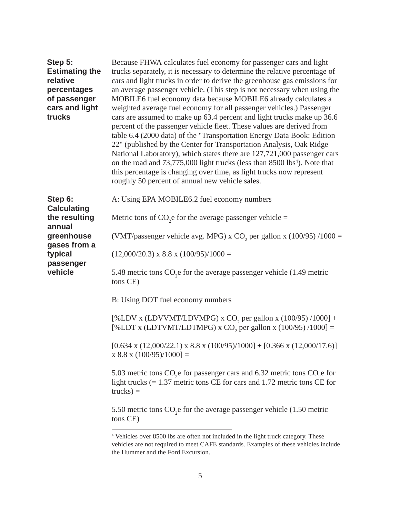| Step 5:<br><b>Estimating the</b><br>relative<br>percentages<br>of passenger<br>cars and light<br>trucks | Because FHWA calculates fuel economy for passenger cars and light<br>trucks separately, it is necessary to determine the relative percentage of<br>cars and light trucks in order to derive the greenhouse gas emissions for<br>an average passenger vehicle. (This step is not necessary when using the<br>MOBILE6 fuel economy data because MOBILE6 already calculates a<br>weighted average fuel economy for all passenger vehicles.) Passenger<br>cars are assumed to make up 63.4 percent and light trucks make up 36.6<br>percent of the passenger vehicle fleet. These values are derived from<br>table 6.4 (2000 data) of the "Transportation Energy Data Book: Edition<br>22" (published by the Center for Transportation Analysis, Oak Ridge<br>National Laboratory), which states there are 127,721,000 passenger cars<br>on the road and 73,775,000 light trucks (less than 8500 lbs <sup>4</sup> ). Note that<br>this percentage is changing over time, as light trucks now represent<br>roughly 50 percent of annual new vehicle sales. |
|---------------------------------------------------------------------------------------------------------|-------------------------------------------------------------------------------------------------------------------------------------------------------------------------------------------------------------------------------------------------------------------------------------------------------------------------------------------------------------------------------------------------------------------------------------------------------------------------------------------------------------------------------------------------------------------------------------------------------------------------------------------------------------------------------------------------------------------------------------------------------------------------------------------------------------------------------------------------------------------------------------------------------------------------------------------------------------------------------------------------------------------------------------------------------|
| Step 6:<br><b>Calculating</b><br>the resulting<br>annual<br>greenhouse                                  | A: Using EPA MOBILE6.2 fuel economy numbers                                                                                                                                                                                                                                                                                                                                                                                                                                                                                                                                                                                                                                                                                                                                                                                                                                                                                                                                                                                                           |
|                                                                                                         | Metric tons of $CO2e$ for the average passenger vehicle =                                                                                                                                                                                                                                                                                                                                                                                                                                                                                                                                                                                                                                                                                                                                                                                                                                                                                                                                                                                             |
|                                                                                                         | (VMT/passenger vehicle avg. MPG) x CO <sub>2</sub> per gallon x (100/95) /1000 =                                                                                                                                                                                                                                                                                                                                                                                                                                                                                                                                                                                                                                                                                                                                                                                                                                                                                                                                                                      |
| gases from a<br>typical                                                                                 | $(12,000/20.3)$ x 8.8 x $(100/95)/1000 =$                                                                                                                                                                                                                                                                                                                                                                                                                                                                                                                                                                                                                                                                                                                                                                                                                                                                                                                                                                                                             |
| passenger<br>vehicle                                                                                    | 5.48 metric tons CO <sub>2</sub> e for the average passenger vehicle (1.49 metric<br>tons CE)                                                                                                                                                                                                                                                                                                                                                                                                                                                                                                                                                                                                                                                                                                                                                                                                                                                                                                                                                         |
|                                                                                                         | <b>B:</b> Using DOT fuel economy numbers                                                                                                                                                                                                                                                                                                                                                                                                                                                                                                                                                                                                                                                                                                                                                                                                                                                                                                                                                                                                              |
|                                                                                                         | [%LDV x (LDVVMT/LDVMPG) x CO <sub>2</sub> per gallon x (100/95) /1000] +<br>[%LDT x (LDTVMT/LDTMPG) x CO <sub>2</sub> per gallon x (100/95) /1000] =                                                                                                                                                                                                                                                                                                                                                                                                                                                                                                                                                                                                                                                                                                                                                                                                                                                                                                  |
|                                                                                                         | $[0.634 \times (12,000/22.1) \times 8.8 \times (100/95)/1000] + [0.366 \times (12,000/17.6)]$<br>$x 8.8 x (100/95)/1000$ ] =                                                                                                                                                                                                                                                                                                                                                                                                                                                                                                                                                                                                                                                                                                                                                                                                                                                                                                                          |
|                                                                                                         | 5.03 metric tons CO <sub>2</sub> e for passenger cars and 6.32 metric tons CO <sub>2</sub> e for<br>light trucks $(= 1.37$ metric tons CE for cars and 1.72 metric tons CE for<br>$trucks) =$                                                                                                                                                                                                                                                                                                                                                                                                                                                                                                                                                                                                                                                                                                                                                                                                                                                         |
|                                                                                                         | 5.50 metric tons CO <sub>2</sub> e for the average passenger vehicle (1.50 metric<br>tons CE)                                                                                                                                                                                                                                                                                                                                                                                                                                                                                                                                                                                                                                                                                                                                                                                                                                                                                                                                                         |

<sup>4</sup> Vehicles over 8500 lbs are often not included in the light truck category. These vehicles are not required to meet CAFE standards. Examples of these vehicles include the Hummer and the Ford Excursion.